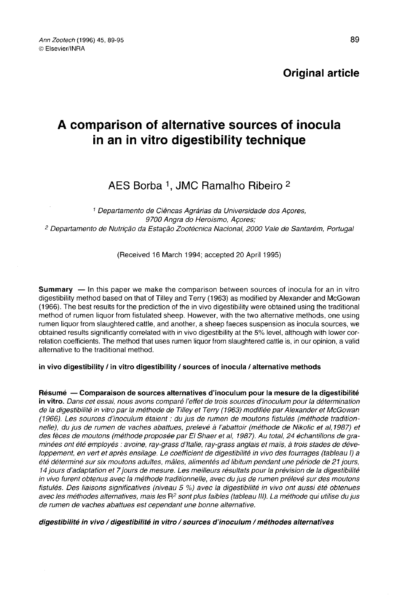# Original article

# A comparison of alternative sources of inocula in an in vitro digestibility technique

# AES Borba <sup>1</sup>, JMC Ramalho Ribeiro <sup>2</sup>

<sup>1</sup> Departamento de Ciëncas Agrarias da Universidade dos Açores, 9700 Angra do Heroismo, Açores; <sup>2</sup> Departamento de Nutriçâo da Estaçâo Zootécnica Nacional, 2000 Vale de Santarém, Portugal

(Received 16 March 1994; accepted 20 April 1995)

Summary — In this paper we make the comparison between sources of inocula for an in vitro digestibility method based on that of Tilley and Terry (1963) as modified by Alexander and McGowan (1966). The best results for the prediction of the in vivo digestibility were obtained using the traditional method of rumen liquor from fistulated sheep. However, with the two alternative methods, one using rumen liquor from slaughtered cattle, and another, a sheep faeces suspension as inocula sources, we obtained results significantly correlated with in vivo digestibility at the 5% level, although with lower correlation coefficients. The method that uses rumen liquor from slaughtered cattle is, in our opinion, a valid alternative to the traditional method.

## in vivo digestibility / in vitro digestibility / sources of inocula / alternative methods

Résumé — Comparaison de sources alternatives d'inoculum pour la mesure de la digestibilité in vitro. Dans cet essai, nous avons comparé l'effet de trois sources d'inoculum pour la détermination de la digestibilité in vitro par la méthode de Tilley et Terry (1963) modifiée par Alexander et McGowan (1966). Les sources d'inoculum étaient : du jus de rumen de moutons fistulés (méthode traditionnelle), du jus de rumen de vaches abattues, prelevé à l'abattoir (méthode de Nikolic et al, 1987) et des fèces de moutons (méthode proposée par El Shaer et al, 1987). Au total, 24 échantillons de graminées ont été employés: avoine, ray-grass d'Italie, ray-grass anglais et mais, à trois stades de développement, en vert et après ensilage. Le coefficient de digestibilité in vivo des fourrages (tableau 1) a été déterminé sur six moutons adultes, mâles, alimentés ad libitum pendant une période de 21 jours, 14 jours d'adaptation et 7 jours de mesure. Les meilleurs résultats pour la prévision de la digestibilité in vivo furent obtenus avec la méthode traditionnelle, avec du jus de rumen prélevé sur des moutons fistulés. Des liaisons significatives (niveau 5 %) avec la digestibilité in vivo ont aussi été obtenues avec les méthodes alternatives, mais les  $R^2$  sont plus faibles (tableau III). La méthode qui utilise du jus de rumen de vaches abattues est cependant une bonne alternative.

#### digestibilité in vivo / digestibilité in vitro / sources d'inoculum / méthodes alternatives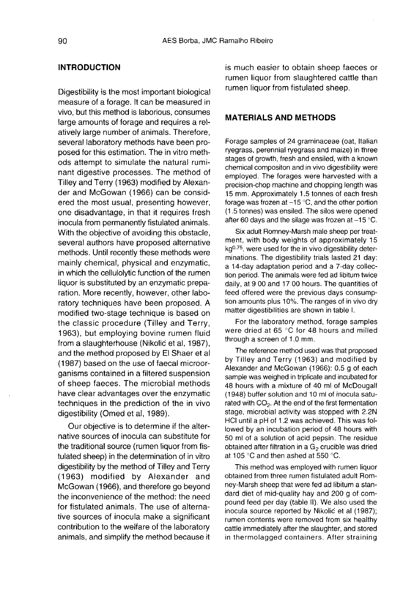## INTRODUCTION

Digestibility is the most important biological measure of a forage. It can be measured in vivo, but this method is laborious, consumes large amounts of forage and requires a relatively large number of animals. Therefore, several laboratory methods have been proposed for this estimation. The in vitro methods attempt to simulate the natural ruminant digestive processes. The method of Tilley and Terry (1963) modified by Alexander and McGowan (1966) can be considered the most usual, presenting however, one disadvantage, in that it requires fresh inocula from permanently fistulated animals. With the objective of avoiding this obstacle, several authors have proposed alternative methods. Until recently these methods were mainly chemical, physical and enzymatic, in which the cellulolytic function of the rumen liquor is substituted by an enzymatic preparation. More recently, however, other laboratory techniques have been proposed. A modified two-stage technique is based on the classic procedure (Tilley and Terry, 1963), but employing bovine rumen fluid from a slaughterhouse (Nikolić et al, 1987), and the method proposed by El Shaer et al (1987) based on the use of faecal microorganisms contained in a filtered suspension of sheep faeces. The microbial methods have clear advantages over the enzymatic techniques in the prediction of the in vivo digestibility (Omed et al, 1989).

Our objective is to determine if the alternative sources of inocula can substitute for the traditional source (rumen liquor from fistulated sheep) in the determination of in vitro digestibility by the method of Tilley and Terry (1963) modified by Alexander and McGowan (1966), and therefore go beyond the inconvenience of the method: the need for fistulated animals. The use of alternative sources of inocula make a significant contribution to the welfare of the laboratory animals, and simplify the method because it is much easier to obtain sheep faeces or rumen liquor from slaughtered cattle than rumen liquor from fistulated sheep.

# MATERIALS AND METHODS

Forage samples of 24 graminaceae (oat, Italian ryegrass, perennial ryegrass and maize) in three stages of growth, fresh and ensiled, with a known chemical compositon and in vivo digestibility were employed. The forages were harvested with a precision-chop machine and chopping length was 15 mm. Approximately 1.5 tonnes of each fresh forage was frozen at  $-15$  °C, and the other portion (1.5 tonnes) was ensiled. The silos were opened after 60 days and the silage was frozen at  $-15$  °C.

Six adult Romney-Marsh male sheep per treatment, with body weights of approximately 15 kg<sup>0.75</sup>, were used for the in vivo digestibility determinations. The digestibility trials lasted 21 day: a 14-day adaptation period and a 7-day collection period. The animals were fed ad libitum twice daily, at 9 00 and 17 00 hours. The quantities of feed offered were the previous days consumption amounts plus 10%. The ranges of in vivo dry matter digestibilities are shown in table I.

For the laboratory method, forage samples were dried at 65 °C for 48 hours and milled through a screen of 1.0 mm.

The reference method used was that proposed by Tilley and Terry (1963) and modified by Alexander and McGowan (1966): 0.5 g of each sample was weighed in triplicate and incubated for 48 hours with a mixture of 40 ml of McDougall (1948) buffer solution and 10 ml of inocula saturated with  $CO<sub>2</sub>$ . At the end of the first fermentation stage, microbial activity was stopped with 2.2N HCI until a pH of 1.2 was achieved. This was followed by an incubation period of 48 hours with 50 ml of a solution of acid pepsin. The residue obtained after filtration in a  $G<sub>2</sub>$  crucible was dried at 105 °C and then ashed at 550 °C.

This method was employed with rumen liquor obtained from three rumen fistulated adult Romney-Marsh sheep that were fed ad libitum a standard diet of mid-quality hay and 200 g of compound feed per day (table II). We also used the inocula source reported by Nikolić et al (1987); rumen contents were removed from six healthy cattle immediately after the slaughter, and stored in thermolagged containers. After straining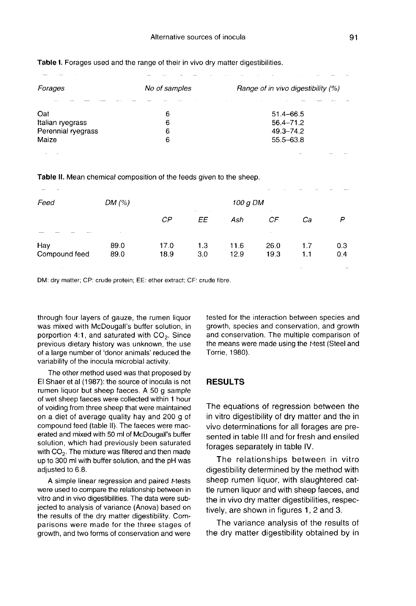| Forages            | No of samples | Range of in vivo digestibility (%) |  |  |  |  |
|--------------------|---------------|------------------------------------|--|--|--|--|
|                    |               |                                    |  |  |  |  |
| Oat                | 6             | $51.4 - 66.5$                      |  |  |  |  |
| Italian ryegrass   | 6             | $56.4 - 71.2$                      |  |  |  |  |
| Perennial ryegrass | 6             | $49.3 - 74.2$                      |  |  |  |  |
| Maize              |               | 55.5-63.8                          |  |  |  |  |
|                    |               |                                    |  |  |  |  |

Table I. Forages used and the range of their in vivo dry matter digestibilities.

Table II. Mean chemical composition of the feeds given to the sheep.

| Feed                 | DM $(%)$     |              | 100 g DM   |              |                    |            |            |
|----------------------|--------------|--------------|------------|--------------|--------------------|------------|------------|
|                      |              | $\sim$<br>ΕE | Ash        | СF           | Сa                 | P          |            |
| Hay<br>Compound feed | 89.0<br>89.0 | 17.0<br>18.9 | 1.3<br>3.0 | 11.6<br>12.9 | ٠.<br>26.0<br>19.3 | 1.7<br>1.1 | 0.3<br>0.4 |

DM: dry matter; CP: crude protein; EE: ether extract; CF: crude fibre.

through four layers of gauze, the rumen liquor was mixed with McDougall's buffer solution, in<br>porportion 4:1, and saturated with CO<sub>2</sub>. Since<br>previous diatary history was unknown, the use previous dietary history was unknown, the use of a large number of 'donor animals' reduced the variability of the inocula microbial activity.

The other method used was that proposed by El Shaer et al (1987): the source of inocula is not rumen liquor but sheep faeces. A 50 g sample of wet sheep faeces were collected within 1 hour of voiding from three sheep that were maintained on a diet of average quality hay and 200 g of compound feed (table II). The faeces were macerated and mixed with 50 ml of McDougall's buffer solution, which had previously been saturated with  $CO<sub>2</sub>$ . The mixture was filtered and then made up to 300 ml with buffer solution, and the pH was adjusted to 6.8.

A simple linear regression and paired t-tests were used to compare the relationship between in vitro and in vivo digestibilities. The data were subjected to analysis of variance (Anova) based on the results of the dry matter digestibility. Comparisons were made for the three stages of growth, and two forms of conservation and were

tested for the interaction between species and growth, species and conservation, and growth and conservation. The multiple comparison of the means were made using the t-test (Steel and Torrie, 1980).

#### RESULTS

The equations of regression between the in vitro digestibility of dry matter and the in vivo determinations for all forages are presented in table III and for fresh and ensiled forages separately in table IV.

The relationships between in vitro digestibility determined by the method with sheep rumen liquor, with slaughtered cattle rumen liquor and with sheep faeces, and the in vivo dry matter digestibilities, respectively, are shown in figures 1, 2 and 3.

The variance analysis of the results of the dry matter digestibility obtained by in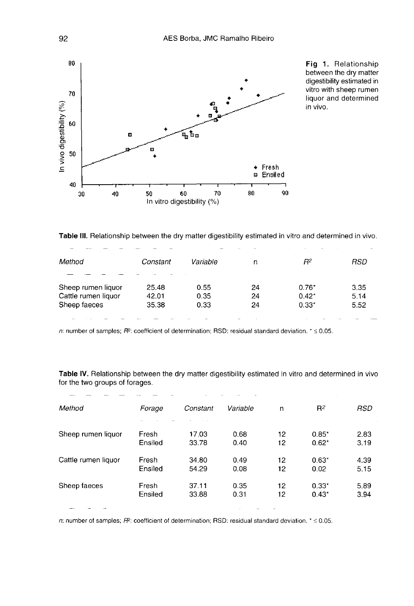

Fig 1. Relationship between the dry matter digestibility estimated in vitro with sheep rumen liquor and determined in vivo.

Table III. Relationship between the dry matter digestibility estimated in vitro and determined in vivo.

| Method              | Constant | Variable | n  | R2      | RSD  |
|---------------------|----------|----------|----|---------|------|
| Sheep rumen liquor  | 25.48    | 0.55     | 24 | $0.76*$ | 3.35 |
| Cattle rumen liquor | 42.01    | 0.35     | 24 | $0.42*$ | 5.14 |
| Sheep faeces        | 35.38    | 0.33     | 24 | $0.33*$ | 5.52 |
|                     |          |          |    |         |      |

n: number of samples;  $R^2$ : coefficient of determination; RSD: residual standard deviation.  $\epsilon \le 0.05$ .

Table IV. Relationship between the dry matter digestibility estimated in vitro and determined in vivo for the two groups of forages.

| Method              | Forage  | Constant | Variable | n  | $R^2$   | RSD  |
|---------------------|---------|----------|----------|----|---------|------|
| Sheep rumen liquor  | Fresh   | 17.03    | 0.68     | 12 | $0.85*$ | 2.83 |
|                     | Ensiled | 33.78    | 0.40     | 12 | $0.62*$ | 3.19 |
| Cattle rumen liguor | Fresh   | 34.80    | 0.49     | 12 | $0.63*$ | 4.39 |
|                     | Ensiled | 54.29    | 0.08     | 12 | 0.02    | 5.15 |
| Sheep faeces        | Fresh   | 37.11    | 0.35     | 12 | $0.33*$ | 5.89 |
|                     | Ensiled | 33.88    | 0.31     | 12 | $0.43*$ | 3.94 |

n: number of samples;  $R^2$ : coefficient of determination; RSD: residual standard deviation.  $* \le 0.05$ .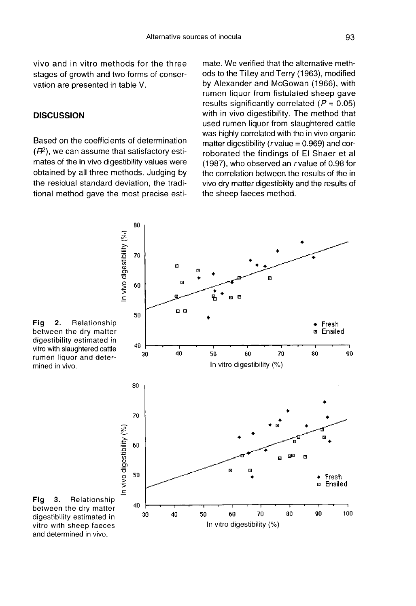vivo and in vitro methods for the three stages of growth and two forms of conservation are presented in table V.

### **DISCUSSION**

Based on the coefficients of determination<br>( $\hat{H}^2$ ), we can assume that satisfactory esti-<br>mateo of the in vive directibility veloce were mates of the in vivo digestibility values were obtained by all three methods. Judging by the residual standard deviation, the traditional method gave the most precise estimate. We verified that the alternative methods to the Tilley and Terry (1963), modified by Alexander and McGowan (1966), with rumen liquor from fistulated sheep gave results significantly correlated  $(P = 0.05)$ with in vivo digestibility. The method that used rumen liquor from slaughtered cattle was highly correlated with the in vivo organic matter digestibility ( $r$  value = 0.969) and corroborated the findings of El Shaer et al (1987), who observed an rvalue of 0.98 for the correlation between the results of the in vivo dry matter digestibility and the results of the sheep faeces method.





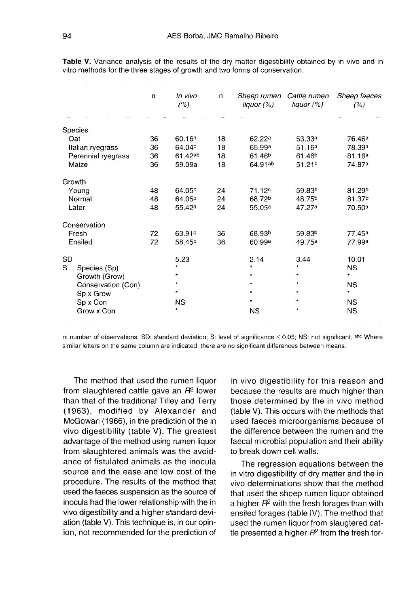|                    | n  | In vivo<br>(% )    | n  | Sheep rumen<br>liquor $(%)$ | Cattle rumen<br>liquor $(%)$ | Sheep faeces<br>(%) |
|--------------------|----|--------------------|----|-----------------------------|------------------------------|---------------------|
|                    |    |                    |    |                             |                              |                     |
| Species            |    |                    |    |                             |                              |                     |
| Oat                | 36 | 60.16a             | 18 | 62.22 <sup>a</sup>          | 53.33 <sup>a</sup>           | 76.46 <sup>a</sup>  |
| Italian ryegrass   | 36 | 64.04 <sup>b</sup> | 18 | 65.99 <sup>a</sup>          | 51.16a                       | 78.39 <sup>a</sup>  |
| Perennial ryegrass | 36 | 61.42ab            | 18 | 61.46 <sup>b</sup>          | 61.46 <sup>b</sup>           | 81.16a              |
| Maize              | 36 | 59.09a             | 18 | 64.91ab                     | 51.21 <sup>b</sup>           | 74.87a              |
| Growth             |    |                    |    |                             |                              |                     |
| Young              | 48 | 64.05 <sup>b</sup> | 24 | 71.12c                      | 59.83 <sup>b</sup>           | 81.29 <sup>b</sup>  |
| Normal             | 48 | 64.05 <sup>b</sup> | 24 | 68.72 <sup>b</sup>          | 48.75 <sup>b</sup>           | 81.37 <sup>b</sup>  |
| Later              | 48 | 55.42 <sup>a</sup> | 24 | 55.05 <sup>a</sup>          | 47.27a                       | 70.50a              |
| Conservation       |    |                    |    |                             |                              |                     |
| Fresh              | 72 | 63.91 <sup>b</sup> | 36 | 68.93 <sup>b</sup>          | 59.83 <sup>b</sup>           | 77.45 <sup>a</sup>  |
| Ensiled            | 72 | 58.45 <sup>b</sup> | 36 | 60.99a                      | 49.75 <sup>a</sup>           | 77.99a              |
| <b>SD</b>          |    | 5.23               |    | 2.14                        | 3.44                         | 10.01               |
| S.<br>Species (Sp) |    | $\star$            |    | $\star$                     |                              | <b>NS</b>           |
| Growth (Grow)      |    |                    |    | $\star$                     | $\star$                      | $\star$             |
| Conservation (Con) |    |                    |    | *                           | *                            | <b>NS</b>           |
| Sp x Grow          |    | *                  |    | *                           | $\star$                      | $\star$             |
| Sp x Con           |    | <b>NS</b>          |    | $\star$                     | $\star$                      | <b>NS</b>           |
| Grow x Con         |    | $\star$            |    | <b>NS</b>                   | $\star$                      | <b>NS</b>           |

Table V. Variance analysis of the results of the dry matter digestibility obtained by in vivo and in vitro methods for the three stages of growth and two forms of conservation.

n: number of observations; SD: standard deviation; S: level of significance  $\leq$  0.05; NS: not significant. abc Where similar letters on the same column are indicated, there are no significant differences between means.

The method that used the rumen liquor from slaughtered cattle gave an  $H<sup>2</sup>$  lower than that of the traditional Tilley and Terry (1963), modified by Alexander and McGowan (1966), in the prediction of the in vivo digestibility (table V). The greatest advantage of the method using rumen liquor from slaughtered animals was the avoidance of fistulated animals as the inocula source and the ease and low cost of the procedure. The results of the method that used the faeces suspension as the source of inocula had the lower relationship with the in vivo digestibility and a higher standard deviation (table V). This technique is, in our opinion, not recommended for the prediction of in vivo digestibility for this reason and because the results are much higher than those determined by the in vivo method (table V). This occurs with the methods that used faeces microorganisms because of the difference between the rumen and the faecal microbial population and their ability to break down cell walls.

The regression equations between the in vitro digestibility of dry matter and the in vivo determinations show that the method that used the sheep rumen liquor obtained a higher  $H^2$  with the fresh forages than with ensiled forages (table IV). The method that used the rumen liquor from slaugtered cattle presented a higher  $H<sup>2</sup>$  from the fresh for